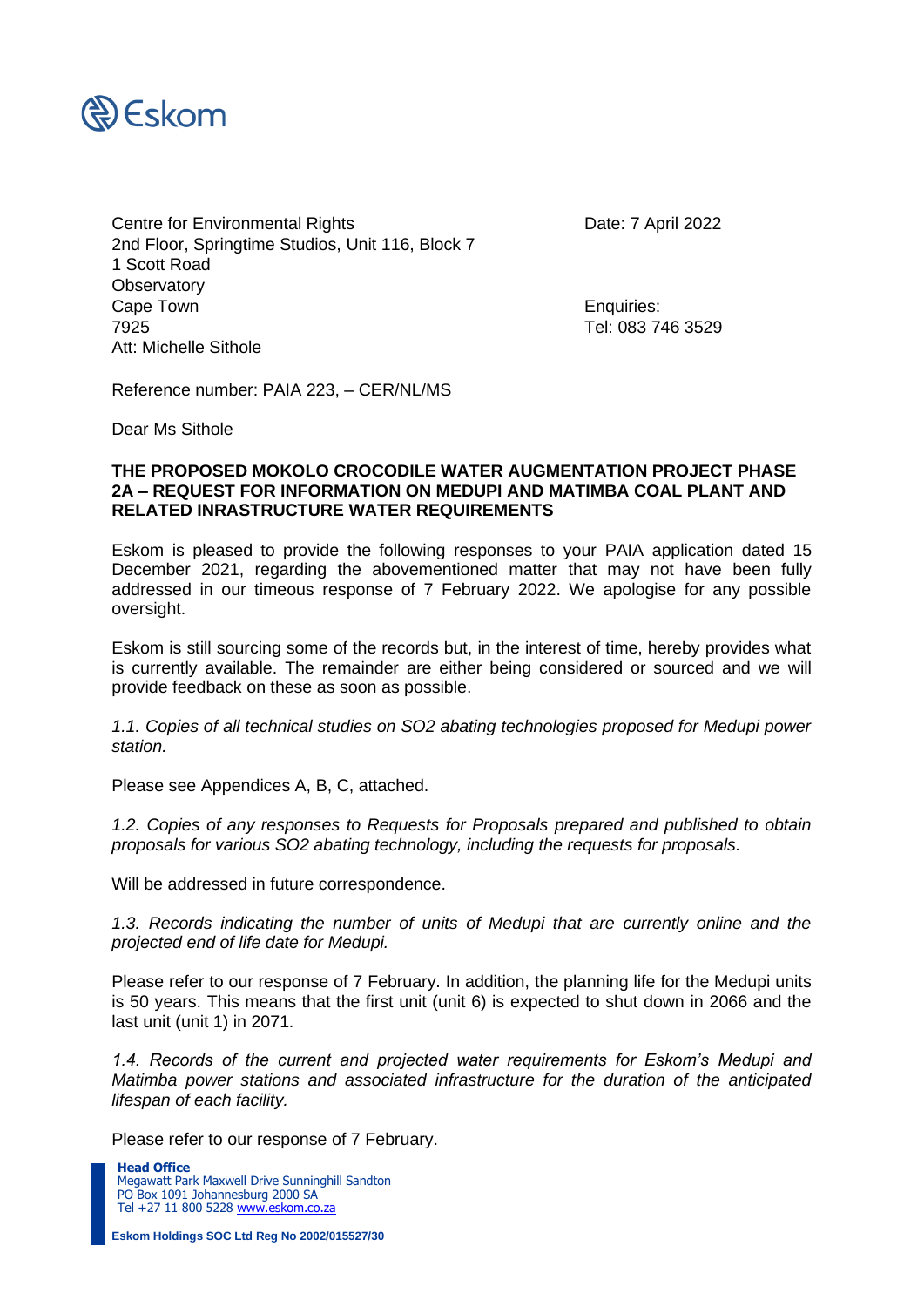

Centre for Environmental Rights Date: 7 April 2022 2nd Floor, Springtime Studios, Unit 116, Block 7 1 Scott Road **Observatory** Cape Town **Enquiries:** 7925 Tel: 083 746 3529 Att: Michelle Sithole

Reference number: PAIA 223, – CER/NL/MS

Dear Ms Sithole

## **THE PROPOSED MOKOLO CROCODILE WATER AUGMENTATION PROJECT PHASE 2A – REQUEST FOR INFORMATION ON MEDUPI AND MATIMBA COAL PLANT AND RELATED INRASTRUCTURE WATER REQUIREMENTS**

Eskom is pleased to provide the following responses to your PAIA application dated 15 December 2021, regarding the abovementioned matter that may not have been fully addressed in our timeous response of 7 February 2022. We apologise for any possible oversight.

Eskom is still sourcing some of the records but, in the interest of time, hereby provides what is currently available. The remainder are either being considered or sourced and we will provide feedback on these as soon as possible.

*1.1. Copies of all technical studies on SO2 abating technologies proposed for Medupi power station.* 

Please see Appendices A, B, C, attached.

*1.2. Copies of any responses to Requests for Proposals prepared and published to obtain proposals for various SO2 abating technology, including the requests for proposals.* 

Will be addressed in future correspondence.

*1.3. Records indicating the number of units of Medupi that are currently online and the projected end of life date for Medupi.* 

Please refer to our response of 7 February. In addition, the planning life for the Medupi units is 50 years. This means that the first unit (unit 6) is expected to shut down in 2066 and the last unit (unit 1) in 2071.

1.4. Records of the current and projected water requirements for Eskom's Medupi and *Matimba power stations and associated infrastructure for the duration of the anticipated lifespan of each facility.* 

Please refer to our response of 7 February.